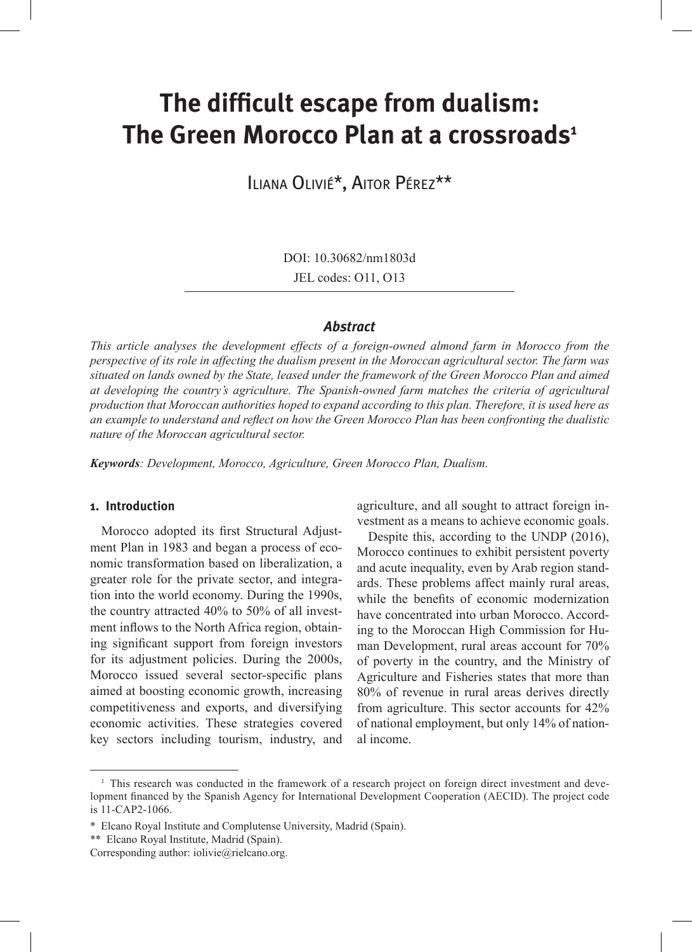# **The difficult escape from dualism: The Green Morocco Plan at a crossroads1**

Iliana Olivié\*, Aitor Pérez\*\*

DOI: 10.30682/nm1803d

JEL codes: O11, O13

#### *Abstract*

*This article analyses the development effects of a foreign-owned almond farm in Morocco from the perspective of its role in affecting the dualism present in the Moroccan agricultural sector. The farm was situated on lands owned by the State, leased under the framework of the Green Morocco Plan and aimed at developing the country's agriculture. The Spanish-owned farm matches the criteria of agricultural production that Moroccan authorities hoped to expand according to this plan. Therefore, it is used here as an example to understand and reflect on how the Green Morocco Plan has been confronting the dualistic nature of the Moroccan agricultural sector.* 

*Keywords: Development, Morocco, Agriculture, Green Morocco Plan, Dualism.*

# **1. Introduction**

Morocco adopted its first Structural Adjustment Plan in 1983 and began a process of economic transformation based on liberalization, a greater role for the private sector, and integration into the world economy. During the 1990s, the country attracted 40% to 50% of all investment inflows to the North Africa region, obtaining significant support from foreign investors for its adjustment policies. During the 2000s, Morocco issued several sector-specific plans aimed at boosting economic growth, increasing competitiveness and exports, and diversifying economic activities. These strategies covered key sectors including tourism, industry, and agriculture, and all sought to attract foreign investment as a means to achieve economic goals.

Despite this, according to the UNDP (2016), Morocco continues to exhibit persistent poverty and acute inequality, even by Arab region standards. These problems affect mainly rural areas, while the benefits of economic modernization have concentrated into urban Morocco. According to the Moroccan High Commission for Human Development, rural areas account for 70% of poverty in the country, and the Ministry of Agriculture and Fisheries states that more than 80% of revenue in rural areas derives directly from agriculture. This sector accounts for 42% of national employment, but only 14% of national income.

<sup>&</sup>lt;sup>1</sup> This research was conducted in the framework of a research project on foreign direct investment and development financed by the Spanish Agency for International Development Cooperation (AECID). The project code is 11-CAP2-1066.

<sup>\*</sup> Elcano Royal Institute and Complutense University, Madrid (Spain).

<sup>\*\*</sup> Elcano Royal Institute, Madrid (Spain).

Corresponding author: iolivie@rielcano.org.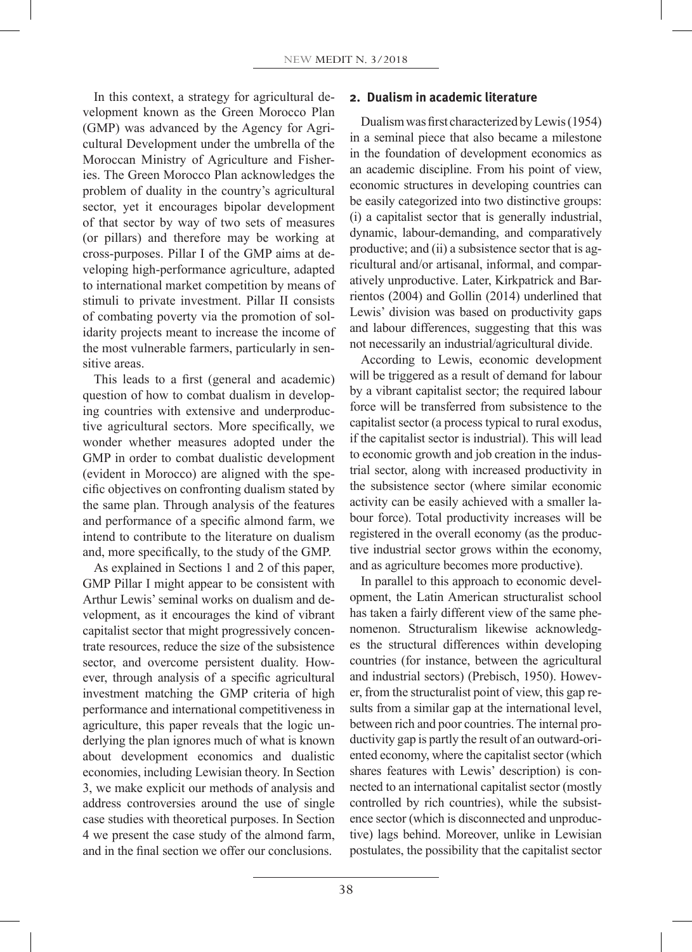In this context, a strategy for agricultural development known as the Green Morocco Plan (GMP) was advanced by the Agency for Agricultural Development under the umbrella of the Moroccan Ministry of Agriculture and Fisheries. The Green Morocco Plan acknowledges the problem of duality in the country's agricultural sector, yet it encourages bipolar development of that sector by way of two sets of measures (or pillars) and therefore may be working at cross-purposes. Pillar I of the GMP aims at developing high-performance agriculture, adapted to international market competition by means of stimuli to private investment. Pillar II consists of combating poverty via the promotion of solidarity projects meant to increase the income of the most vulnerable farmers, particularly in sensitive areas.

This leads to a first (general and academic) question of how to combat dualism in developing countries with extensive and underproductive agricultural sectors. More specifically, we wonder whether measures adopted under the GMP in order to combat dualistic development (evident in Morocco) are aligned with the specific objectives on confronting dualism stated by the same plan. Through analysis of the features and performance of a specific almond farm, we intend to contribute to the literature on dualism and, more specifically, to the study of the GMP.

As explained in Sections 1 and 2 of this paper, GMP Pillar I might appear to be consistent with Arthur Lewis' seminal works on dualism and development, as it encourages the kind of vibrant capitalist sector that might progressively concentrate resources, reduce the size of the subsistence sector, and overcome persistent duality. However, through analysis of a specific agricultural investment matching the GMP criteria of high performance and international competitiveness in agriculture, this paper reveals that the logic underlying the plan ignores much of what is known about development economics and dualistic economies, including Lewisian theory. In Section 3, we make explicit our methods of analysis and address controversies around the use of single case studies with theoretical purposes. In Section 4 we present the case study of the almond farm, and in the final section we offer our conclusions.

### **2. Dualism in academic literature**

Dualism was first characterized by Lewis (1954) in a seminal piece that also became a milestone in the foundation of development economics as an academic discipline. From his point of view, economic structures in developing countries can be easily categorized into two distinctive groups: (i) a capitalist sector that is generally industrial, dynamic, labour-demanding, and comparatively productive; and (ii) a subsistence sector that is agricultural and/or artisanal, informal, and comparatively unproductive. Later, Kirkpatrick and Barrientos (2004) and Gollin (2014) underlined that Lewis' division was based on productivity gaps and labour differences, suggesting that this was not necessarily an industrial/agricultural divide.

According to Lewis, economic development will be triggered as a result of demand for labour by a vibrant capitalist sector; the required labour force will be transferred from subsistence to the capitalist sector (a process typical to rural exodus, if the capitalist sector is industrial). This will lead to economic growth and job creation in the industrial sector, along with increased productivity in the subsistence sector (where similar economic activity can be easily achieved with a smaller labour force). Total productivity increases will be registered in the overall economy (as the productive industrial sector grows within the economy, and as agriculture becomes more productive).

In parallel to this approach to economic development, the Latin American structuralist school has taken a fairly different view of the same phenomenon. Structuralism likewise acknowledges the structural differences within developing countries (for instance, between the agricultural and industrial sectors) (Prebisch, 1950). However, from the structuralist point of view, this gap results from a similar gap at the international level, between rich and poor countries. The internal productivity gap is partly the result of an outward-oriented economy, where the capitalist sector (which shares features with Lewis' description) is connected to an international capitalist sector (mostly controlled by rich countries), while the subsistence sector (which is disconnected and unproductive) lags behind. Moreover, unlike in Lewisian postulates, the possibility that the capitalist sector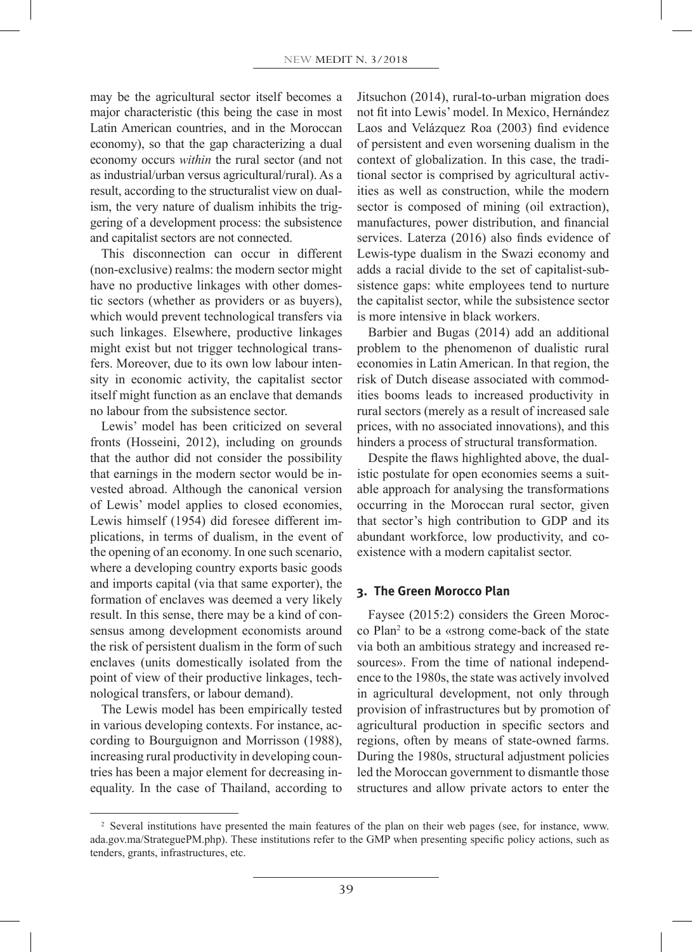may be the agricultural sector itself becomes a major characteristic (this being the case in most Latin American countries, and in the Moroccan economy), so that the gap characterizing a dual economy occurs *within* the rural sector (and not as industrial/urban versus agricultural/rural). As a result, according to the structuralist view on dualism, the very nature of dualism inhibits the triggering of a development process: the subsistence and capitalist sectors are not connected.

This disconnection can occur in different (non-exclusive) realms: the modern sector might have no productive linkages with other domestic sectors (whether as providers or as buyers), which would prevent technological transfers via such linkages. Elsewhere, productive linkages might exist but not trigger technological transfers. Moreover, due to its own low labour intensity in economic activity, the capitalist sector itself might function as an enclave that demands no labour from the subsistence sector.

Lewis' model has been criticized on several fronts (Hosseini, 2012), including on grounds that the author did not consider the possibility that earnings in the modern sector would be invested abroad. Although the canonical version of Lewis' model applies to closed economies, Lewis himself (1954) did foresee different implications, in terms of dualism, in the event of the opening of an economy. In one such scenario, where a developing country exports basic goods and imports capital (via that same exporter), the formation of enclaves was deemed a very likely result. In this sense, there may be a kind of consensus among development economists around the risk of persistent dualism in the form of such enclaves (units domestically isolated from the point of view of their productive linkages, technological transfers, or labour demand).

The Lewis model has been empirically tested in various developing contexts. For instance, according to Bourguignon and Morrisson (1988), increasing rural productivity in developing countries has been a major element for decreasing inequality. In the case of Thailand, according to

Jitsuchon (2014), rural-to-urban migration does not fit into Lewis' model. In Mexico, Hernández Laos and Velázquez Roa (2003) find evidence of persistent and even worsening dualism in the context of globalization. In this case, the traditional sector is comprised by agricultural activities as well as construction, while the modern sector is composed of mining (oil extraction), manufactures, power distribution, and financial services. Laterza (2016) also finds evidence of Lewis-type dualism in the Swazi economy and adds a racial divide to the set of capitalist-subsistence gaps: white employees tend to nurture the capitalist sector, while the subsistence sector is more intensive in black workers.

Barbier and Bugas (2014) add an additional problem to the phenomenon of dualistic rural economies in Latin American. In that region, the risk of Dutch disease associated with commodities booms leads to increased productivity in rural sectors (merely as a result of increased sale prices, with no associated innovations), and this hinders a process of structural transformation.

Despite the flaws highlighted above, the dualistic postulate for open economies seems a suitable approach for analysing the transformations occurring in the Moroccan rural sector, given that sector's high contribution to GDP and its abundant workforce, low productivity, and coexistence with a modern capitalist sector.

#### **3. The Green Morocco Plan**

Faysee (2015:2) considers the Green Morocco Plan<sup>2</sup> to be a «strong come-back of the state via both an ambitious strategy and increased resources». From the time of national independence to the 1980s, the state was actively involved in agricultural development, not only through provision of infrastructures but by promotion of agricultural production in specific sectors and regions, often by means of state-owned farms. During the 1980s, structural adjustment policies led the Moroccan government to dismantle those structures and allow private actors to enter the

<sup>2</sup> Several institutions have presented the main features of the plan on their web pages (see, for instance, www. ada.gov.ma/StrateguePM.php). These institutions refer to the GMP when presenting specific policy actions, such as tenders, grants, infrastructures, etc.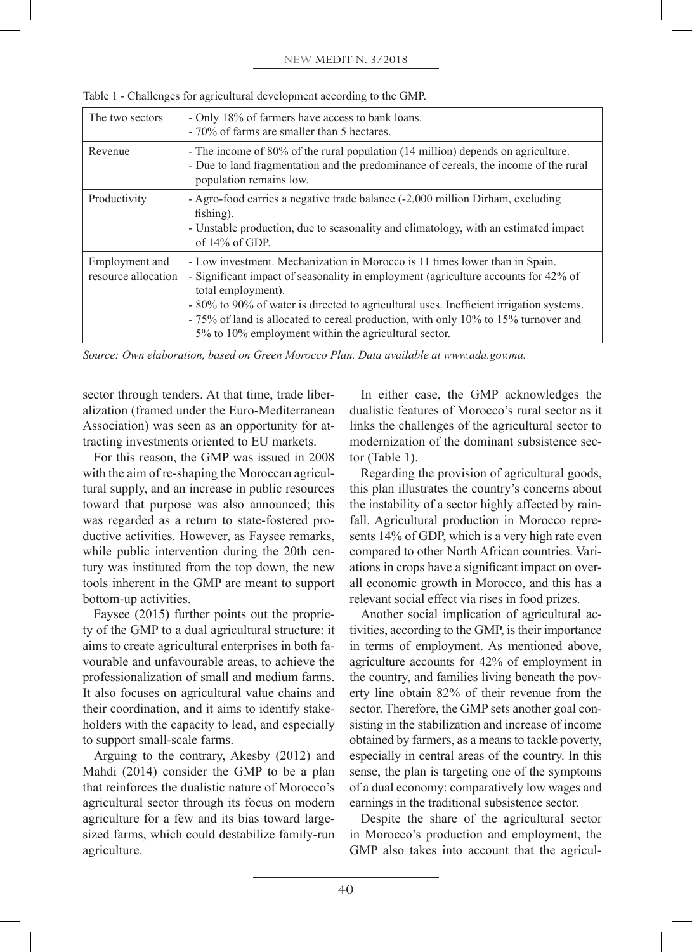| The two sectors                       | - Only 18% of farmers have access to bank loans.<br>- 70% of farms are smaller than 5 hectares.                                                                                                                                                                                                                                                                                                                                  |
|---------------------------------------|----------------------------------------------------------------------------------------------------------------------------------------------------------------------------------------------------------------------------------------------------------------------------------------------------------------------------------------------------------------------------------------------------------------------------------|
| Revenue                               | - The income of 80% of the rural population (14 million) depends on agriculture.<br>- Due to land fragmentation and the predominance of cereals, the income of the rural<br>population remains low.                                                                                                                                                                                                                              |
| Productivity                          | - Agro-food carries a negative trade balance (-2,000 million Dirham, excluding<br>fishing).<br>- Unstable production, due to seasonality and climatology, with an estimated impact<br>of $14\%$ of GDP.                                                                                                                                                                                                                          |
| Employment and<br>resource allocation | - Low investment. Mechanization in Morocco is 11 times lower than in Spain.<br>- Significant impact of seasonality in employment (agriculture accounts for 42% of<br>total employment).<br>- 80% to 90% of water is directed to agricultural uses. Inefficient irrigation systems.<br>- 75% of land is allocated to cereal production, with only 10% to 15% turnover and<br>5% to 10% employment within the agricultural sector. |

Table 1 - Challenges for agricultural development according to the GMP.

*Source: Own elaboration, based on Green Morocco Plan. Data available at www.ada.gov.ma.*

sector through tenders. At that time, trade liberalization (framed under the Euro-Mediterranean Association) was seen as an opportunity for attracting investments oriented to EU markets.

For this reason, the GMP was issued in 2008 with the aim of re-shaping the Moroccan agricultural supply, and an increase in public resources toward that purpose was also announced; this was regarded as a return to state-fostered productive activities. However, as Faysee remarks, while public intervention during the 20th century was instituted from the top down, the new tools inherent in the GMP are meant to support bottom-up activities.

Faysee (2015) further points out the propriety of the GMP to a dual agricultural structure: it aims to create agricultural enterprises in both favourable and unfavourable areas, to achieve the professionalization of small and medium farms. It also focuses on agricultural value chains and their coordination, and it aims to identify stakeholders with the capacity to lead, and especially to support small-scale farms.

Arguing to the contrary, Akesby (2012) and Mahdi (2014) consider the GMP to be a plan that reinforces the dualistic nature of Morocco's agricultural sector through its focus on modern agriculture for a few and its bias toward largesized farms, which could destabilize family-run agriculture.

In either case, the GMP acknowledges the dualistic features of Morocco's rural sector as it links the challenges of the agricultural sector to modernization of the dominant subsistence sector (Table 1).

Regarding the provision of agricultural goods, this plan illustrates the country's concerns about the instability of a sector highly affected by rainfall. Agricultural production in Morocco represents 14% of GDP, which is a very high rate even compared to other North African countries. Variations in crops have a significant impact on overall economic growth in Morocco, and this has a relevant social effect via rises in food prizes.

Another social implication of agricultural activities, according to the GMP, is their importance in terms of employment. As mentioned above, agriculture accounts for 42% of employment in the country, and families living beneath the poverty line obtain 82% of their revenue from the sector. Therefore, the GMP sets another goal consisting in the stabilization and increase of income obtained by farmers, as a means to tackle poverty, especially in central areas of the country. In this sense, the plan is targeting one of the symptoms of a dual economy: comparatively low wages and earnings in the traditional subsistence sector.

Despite the share of the agricultural sector in Morocco's production and employment, the GMP also takes into account that the agricul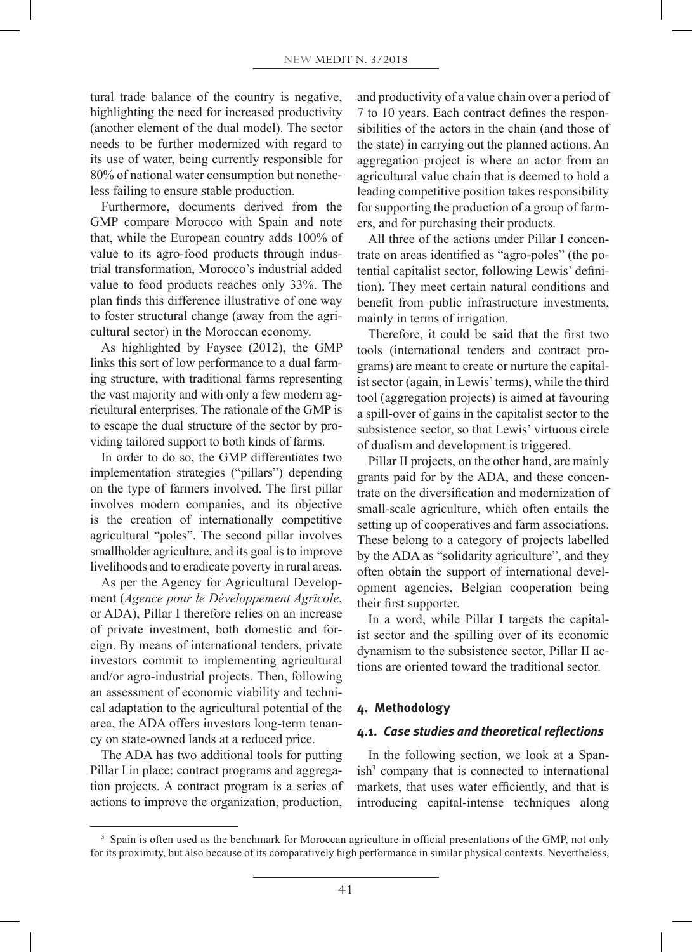tural trade balance of the country is negative, highlighting the need for increased productivity (another element of the dual model). The sector needs to be further modernized with regard to its use of water, being currently responsible for 80% of national water consumption but nonetheless failing to ensure stable production.

Furthermore, documents derived from the GMP compare Morocco with Spain and note that, while the European country adds 100% of value to its agro-food products through industrial transformation, Morocco's industrial added value to food products reaches only 33%. The plan finds this difference illustrative of one way to foster structural change (away from the agricultural sector) in the Moroccan economy.

As highlighted by Faysee (2012), the GMP links this sort of low performance to a dual farming structure, with traditional farms representing the vast majority and with only a few modern agricultural enterprises. The rationale of the GMP is to escape the dual structure of the sector by providing tailored support to both kinds of farms.

In order to do so, the GMP differentiates two implementation strategies ("pillars") depending on the type of farmers involved. The first pillar involves modern companies, and its objective is the creation of internationally competitive agricultural "poles". The second pillar involves smallholder agriculture, and its goal is to improve livelihoods and to eradicate poverty in rural areas.

As per the Agency for Agricultural Development (*Agence pour le Développement Agricole*, or ADA), Pillar I therefore relies on an increase of private investment, both domestic and foreign. By means of international tenders, private investors commit to implementing agricultural and/or agro-industrial projects. Then, following an assessment of economic viability and technical adaptation to the agricultural potential of the area, the ADA offers investors long-term tenancy on state-owned lands at a reduced price.

The ADA has two additional tools for putting Pillar I in place: contract programs and aggregation projects. A contract program is a series of actions to improve the organization, production,

and productivity of a value chain over a period of 7 to 10 years. Each contract defines the responsibilities of the actors in the chain (and those of the state) in carrying out the planned actions. An aggregation project is where an actor from an agricultural value chain that is deemed to hold a leading competitive position takes responsibility for supporting the production of a group of farmers, and for purchasing their products.

All three of the actions under Pillar I concentrate on areas identified as "agro-poles" (the potential capitalist sector, following Lewis' definition). They meet certain natural conditions and benefit from public infrastructure investments, mainly in terms of irrigation.

Therefore, it could be said that the first two tools (international tenders and contract programs) are meant to create or nurture the capitalist sector (again, in Lewis' terms), while the third tool (aggregation projects) is aimed at favouring a spill-over of gains in the capitalist sector to the subsistence sector, so that Lewis' virtuous circle of dualism and development is triggered.

Pillar II projects, on the other hand, are mainly grants paid for by the ADA, and these concentrate on the diversification and modernization of small-scale agriculture, which often entails the setting up of cooperatives and farm associations. These belong to a category of projects labelled by the ADA as "solidarity agriculture", and they often obtain the support of international development agencies, Belgian cooperation being their first supporter.

In a word, while Pillar I targets the capitalist sector and the spilling over of its economic dynamism to the subsistence sector, Pillar II actions are oriented toward the traditional sector.

#### **4. Methodology**

#### **4.1.** *Case studies and theoretical reflections*

In the following section, we look at a Spanish<sup>3</sup> company that is connected to international markets, that uses water efficiently, and that is introducing capital-intense techniques along

<sup>&</sup>lt;sup>3</sup> Spain is often used as the benchmark for Moroccan agriculture in official presentations of the GMP, not only for its proximity, but also because of its comparatively high performance in similar physical contexts. Nevertheless,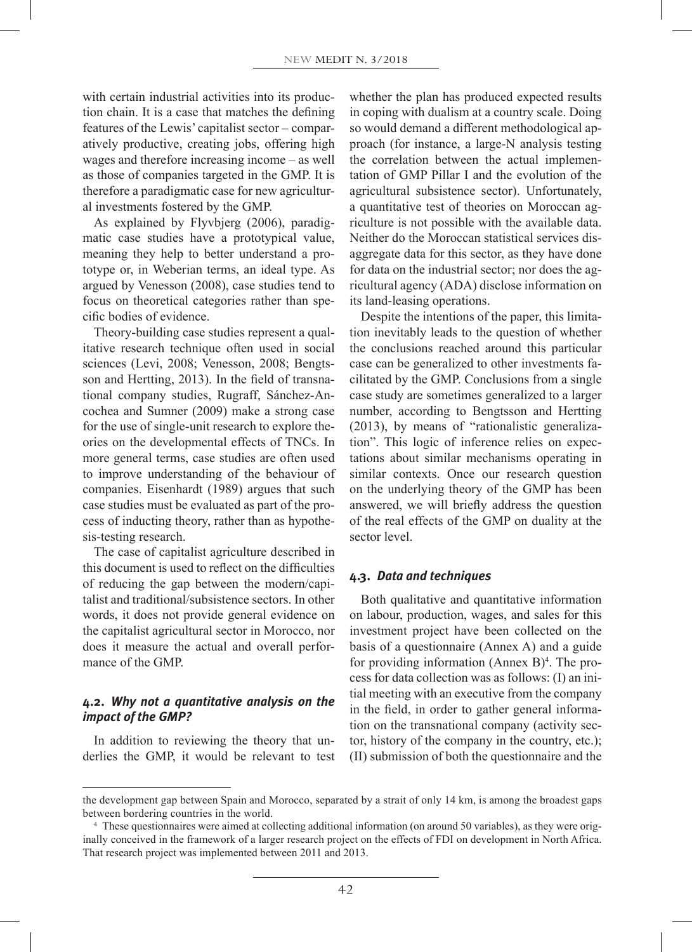with certain industrial activities into its production chain. It is a case that matches the defining features of the Lewis' capitalist sector – comparatively productive, creating jobs, offering high wages and therefore increasing income – as well as those of companies targeted in the GMP. It is therefore a paradigmatic case for new agricultural investments fostered by the GMP.

As explained by Flyvbjerg (2006), paradigmatic case studies have a prototypical value, meaning they help to better understand a prototype or, in Weberian terms, an ideal type. As argued by Venesson (2008), case studies tend to focus on theoretical categories rather than specific bodies of evidence.

Theory-building case studies represent a qualitative research technique often used in social sciences (Levi, 2008; Venesson, 2008; Bengtsson and Hertting, 2013). In the field of transnational company studies, Rugraff, Sánchez-Ancochea and Sumner (2009) make a strong case for the use of single-unit research to explore theories on the developmental effects of TNCs. In more general terms, case studies are often used to improve understanding of the behaviour of companies. Eisenhardt (1989) argues that such case studies must be evaluated as part of the process of inducting theory, rather than as hypothesis-testing research.

The case of capitalist agriculture described in this document is used to reflect on the difficulties of reducing the gap between the modern/capitalist and traditional/subsistence sectors. In other words, it does not provide general evidence on the capitalist agricultural sector in Morocco, nor does it measure the actual and overall performance of the GMP.

# **4.2.** *Why not a quantitative analysis on the impact of the GMP?*

In addition to reviewing the theory that underlies the GMP, it would be relevant to test whether the plan has produced expected results in coping with dualism at a country scale. Doing so would demand a different methodological approach (for instance, a large-N analysis testing the correlation between the actual implementation of GMP Pillar I and the evolution of the agricultural subsistence sector). Unfortunately, a quantitative test of theories on Moroccan agriculture is not possible with the available data. Neither do the Moroccan statistical services disaggregate data for this sector, as they have done for data on the industrial sector; nor does the agricultural agency (ADA) disclose information on its land-leasing operations.

Despite the intentions of the paper, this limitation inevitably leads to the question of whether the conclusions reached around this particular case can be generalized to other investments facilitated by the GMP. Conclusions from a single case study are sometimes generalized to a larger number, according to Bengtsson and Hertting (2013), by means of "rationalistic generalization". This logic of inference relies on expectations about similar mechanisms operating in similar contexts. Once our research question on the underlying theory of the GMP has been answered, we will briefly address the question of the real effects of the GMP on duality at the sector level.

# **4.3.** *Data and techniques*

Both qualitative and quantitative information on labour, production, wages, and sales for this investment project have been collected on the basis of a questionnaire (Annex A) and a guide for providing information (Annex  $B$ )<sup>4</sup>. The process for data collection was as follows: (I) an initial meeting with an executive from the company in the field, in order to gather general information on the transnational company (activity sector, history of the company in the country, etc.); (II) submission of both the questionnaire and the

the development gap between Spain and Morocco, separated by a strait of only 14 km, is among the broadest gaps between bordering countries in the world.

<sup>4</sup> These questionnaires were aimed at collecting additional information (on around 50 variables), as they were originally conceived in the framework of a larger research project on the effects of FDI on development in North Africa. That research project was implemented between 2011 and 2013.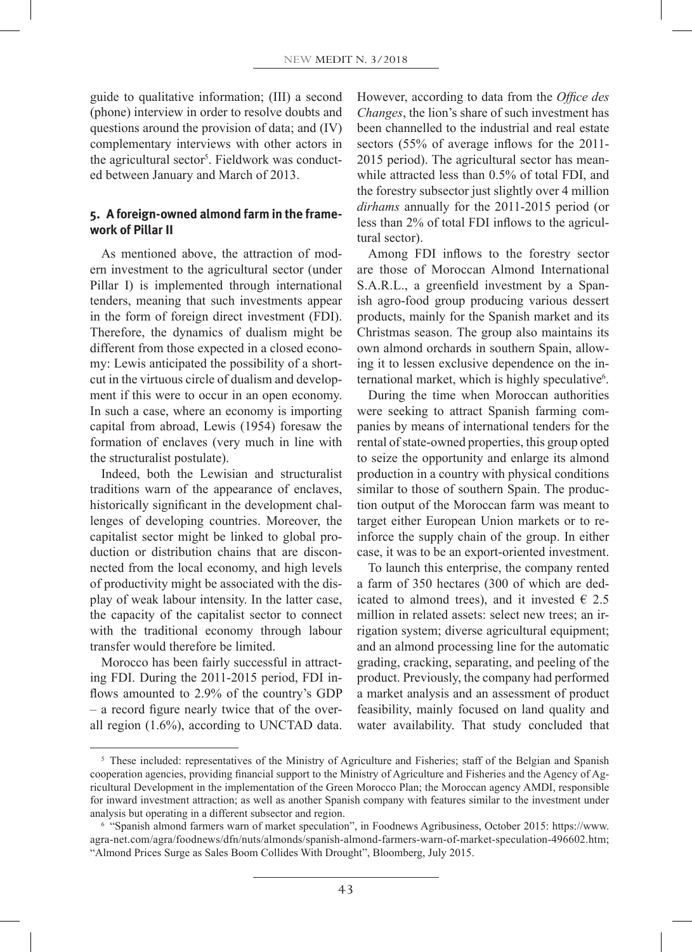guide to qualitative information; (III) a second (phone) interview in order to resolve doubts and questions around the provision of data; and (IV) complementary interviews with other actors in the agricultural sector<sup>5</sup>. Fieldwork was conducted between January and March of 2013.

### **5. A foreign-owned almond farm in the framework of Pillar II**

As mentioned above, the attraction of modern investment to the agricultural sector (under Pillar I) is implemented through international tenders, meaning that such investments appear in the form of foreign direct investment (FDI). Therefore, the dynamics of dualism might be different from those expected in a closed economy: Lewis anticipated the possibility of a shortcut in the virtuous circle of dualism and development if this were to occur in an open economy. In such a case, where an economy is importing capital from abroad, Lewis (1954) foresaw the formation of enclaves (very much in line with the structuralist postulate).

Indeed, both the Lewisian and structuralist traditions warn of the appearance of enclaves, historically significant in the development challenges of developing countries. Moreover, the capitalist sector might be linked to global production or distribution chains that are disconnected from the local economy, and high levels of productivity might be associated with the display of weak labour intensity. In the latter case, the capacity of the capitalist sector to connect with the traditional economy through labour transfer would therefore be limited.

Morocco has been fairly successful in attracting FDI. During the 2011-2015 period, FDI inflows amounted to 2.9% of the country's GDP – a record figure nearly twice that of the overall region (1.6%), according to UNCTAD data.

However, according to data from the *Office des Changes*, the lion's share of such investment has been channelled to the industrial and real estate sectors (55% of average inflows for the 2011- 2015 period). The agricultural sector has meanwhile attracted less than 0.5% of total FDI, and the forestry subsector just slightly over 4 million *dirhams* annually for the 2011-2015 period (or less than 2% of total FDI inflows to the agricultural sector).

Among FDI inflows to the forestry sector are those of Moroccan Almond International S.A.R.L., a greenfield investment by a Spanish agro-food group producing various dessert products, mainly for the Spanish market and its Christmas season. The group also maintains its own almond orchards in southern Spain, allowing it to lessen exclusive dependence on the international market, which is highly speculative<sup>6</sup>.

During the time when Moroccan authorities were seeking to attract Spanish farming companies by means of international tenders for the rental of state-owned properties, this group opted to seize the opportunity and enlarge its almond production in a country with physical conditions similar to those of southern Spain. The production output of the Moroccan farm was meant to target either European Union markets or to reinforce the supply chain of the group. In either case, it was to be an export-oriented investment.

To launch this enterprise, the company rented a farm of 350 hectares (300 of which are dedicated to almond trees), and it invested  $\epsilon$  2.5 million in related assets: select new trees; an irrigation system; diverse agricultural equipment; and an almond processing line for the automatic grading, cracking, separating, and peeling of the product. Previously, the company had performed a market analysis and an assessment of product feasibility, mainly focused on land quality and water availability. That study concluded that

<sup>&</sup>lt;sup>5</sup> These included: representatives of the Ministry of Agriculture and Fisheries; staff of the Belgian and Spanish cooperation agencies, providing financial support to the Ministry of Agriculture and Fisheries and the Agency of Agricultural Development in the implementation of the Green Morocco Plan; the Moroccan agency AMDI, responsible for inward investment attraction; as well as another Spanish company with features similar to the investment under analysis but operating in a different subsector and region.

<sup>6</sup> "Spanish almond farmers warn of market speculation", in Foodnews Agribusiness, October 2015: https://www. agra-net.com/agra/foodnews/dfn/nuts/almonds/spanish-almond-farmers-warn-of-market-speculation-496602.htm; "Almond Prices Surge as Sales Boom Collides With Drought", Bloomberg, July 2015.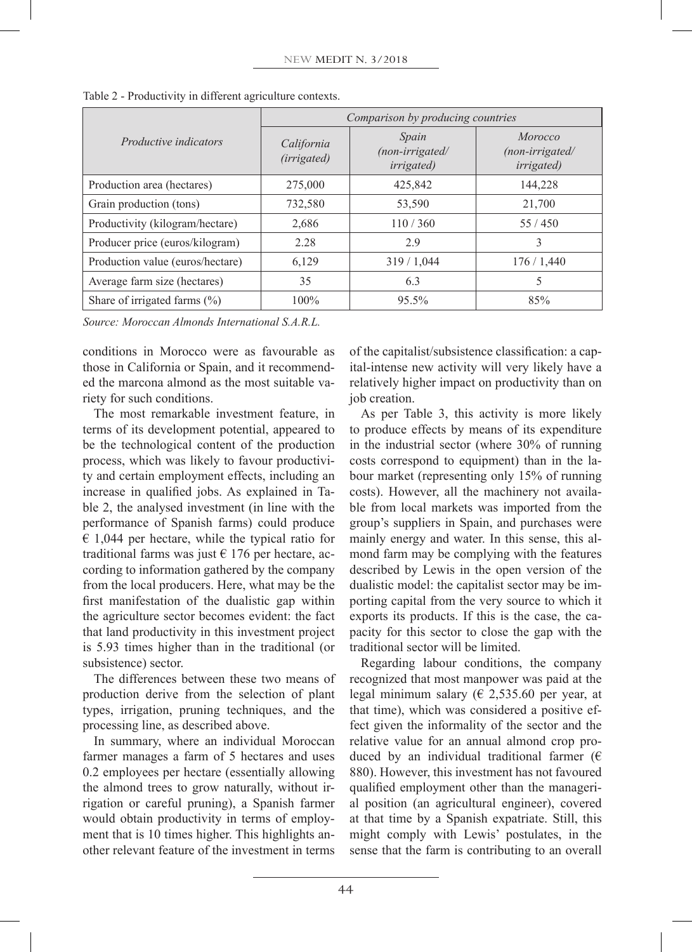|                                  | Comparison by producing countries |                                                |                                                           |  |
|----------------------------------|-----------------------------------|------------------------------------------------|-----------------------------------------------------------|--|
| <i>Productive indicators</i>     | California<br>(irrigated)         | Spain<br>(non-irrigated/<br><i>irrigated</i> ) | <i>Morocco</i><br>$(non-irrigated/$<br><i>irrigated</i> ) |  |
| Production area (hectares)       | 275,000                           | 425,842                                        | 144,228                                                   |  |
| Grain production (tons)          | 732,580                           | 53,590                                         | 21,700                                                    |  |
| Productivity (kilogram/hectare)  | 2,686                             | 110/360                                        | 55/450                                                    |  |
| Producer price (euros/kilogram)  | 2.28                              | 2.9                                            | 3                                                         |  |
| Production value (euros/hectare) | 6,129                             | 319/1,044                                      | 176/1,440                                                 |  |
| Average farm size (hectares)     | 35                                | 6.3                                            | 5                                                         |  |
| Share of irrigated farms $(\% )$ | 100%                              | $95.5\%$                                       | 85%                                                       |  |

Table 2 - Productivity in different agriculture contexts.

*Source: Moroccan Almonds International S.A.R.L.*

conditions in Morocco were as favourable as those in California or Spain, and it recommended the marcona almond as the most suitable variety for such conditions.

The most remarkable investment feature, in terms of its development potential, appeared to be the technological content of the production process, which was likely to favour productivity and certain employment effects, including an increase in qualified jobs. As explained in Table 2, the analysed investment (in line with the performance of Spanish farms) could produce  $\epsilon$  1,044 per hectare, while the typical ratio for traditional farms was just  $\epsilon$  176 per hectare, according to information gathered by the company from the local producers. Here, what may be the first manifestation of the dualistic gap within the agriculture sector becomes evident: the fact that land productivity in this investment project is 5.93 times higher than in the traditional (or subsistence) sector.

The differences between these two means of production derive from the selection of plant types, irrigation, pruning techniques, and the processing line, as described above.

In summary, where an individual Moroccan farmer manages a farm of 5 hectares and uses 0.2 employees per hectare (essentially allowing the almond trees to grow naturally, without irrigation or careful pruning), a Spanish farmer would obtain productivity in terms of employment that is 10 times higher. This highlights another relevant feature of the investment in terms

of the capitalist/subsistence classification: a capital-intense new activity will very likely have a relatively higher impact on productivity than on job creation.

As per Table 3, this activity is more likely to produce effects by means of its expenditure in the industrial sector (where 30% of running costs correspond to equipment) than in the labour market (representing only 15% of running costs). However, all the machinery not available from local markets was imported from the group's suppliers in Spain, and purchases were mainly energy and water. In this sense, this almond farm may be complying with the features described by Lewis in the open version of the dualistic model: the capitalist sector may be importing capital from the very source to which it exports its products. If this is the case, the capacity for this sector to close the gap with the traditional sector will be limited.

Regarding labour conditions, the company recognized that most manpower was paid at the legal minimum salary ( $\in$  2,535.60 per year, at that time), which was considered a positive effect given the informality of the sector and the relative value for an annual almond crop produced by an individual traditional farmer ( $\epsilon$ 880). However, this investment has not favoured qualified employment other than the managerial position (an agricultural engineer), covered at that time by a Spanish expatriate. Still, this might comply with Lewis' postulates, in the sense that the farm is contributing to an overall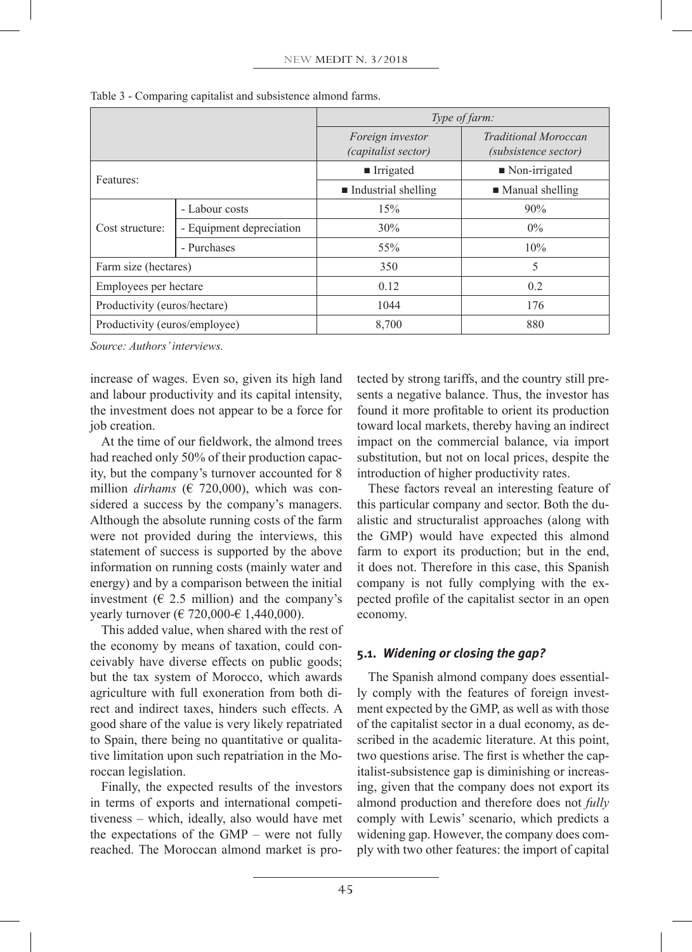|                               |                          | Type of farm:                                  |                                                            |  |
|-------------------------------|--------------------------|------------------------------------------------|------------------------------------------------------------|--|
|                               |                          | Foreign investor<br><i>(capitalist sector)</i> | <b>Traditional Moroccan</b><br><i>(subsistence sector)</i> |  |
| Features:                     |                          | $\blacksquare$ Irrigated                       | $\blacksquare$ Non-irrigated                               |  |
|                               |                          | $\blacksquare$ Industrial shelling             | $\blacksquare$ Manual shelling                             |  |
| Cost structure:               | - Labour costs           | 15%                                            | 90%                                                        |  |
|                               | - Equipment depreciation | 30%                                            | $0\%$                                                      |  |
|                               | - Purchases              | 55%                                            | 10%                                                        |  |
| Farm size (hectares)          |                          | 350                                            | 5                                                          |  |
| Employees per hectare         |                          | 0.12                                           | 0.2                                                        |  |
| Productivity (euros/hectare)  |                          | 1044                                           | 176                                                        |  |
| Productivity (euros/employee) |                          | 8,700                                          | 880                                                        |  |

Table 3 - Comparing capitalist and subsistence almond farms.

*Source: Authors' interviews.*

increase of wages. Even so, given its high land and labour productivity and its capital intensity, the investment does not appear to be a force for job creation.

At the time of our fieldwork, the almond trees had reached only 50% of their production capacity, but the company's turnover accounted for 8 million *dirhams* (€ 720,000), which was considered a success by the company's managers. Although the absolute running costs of the farm were not provided during the interviews, this statement of success is supported by the above information on running costs (mainly water and energy) and by a comparison between the initial investment ( $\in$  2.5 million) and the company's vearly turnover (€ 720,000-€ 1,440,000).

This added value, when shared with the rest of the economy by means of taxation, could conceivably have diverse effects on public goods; but the tax system of Morocco, which awards agriculture with full exoneration from both direct and indirect taxes, hinders such effects. A good share of the value is very likely repatriated to Spain, there being no quantitative or qualitative limitation upon such repatriation in the Moroccan legislation.

Finally, the expected results of the investors in terms of exports and international competitiveness – which, ideally, also would have met the expectations of the GMP – were not fully reached. The Moroccan almond market is protected by strong tariffs, and the country still presents a negative balance. Thus, the investor has found it more profitable to orient its production toward local markets, thereby having an indirect impact on the commercial balance, via import substitution, but not on local prices, despite the introduction of higher productivity rates.

These factors reveal an interesting feature of this particular company and sector. Both the dualistic and structuralist approaches (along with the GMP) would have expected this almond farm to export its production; but in the end, it does not. Therefore in this case, this Spanish company is not fully complying with the expected profile of the capitalist sector in an open economy.

# **5.1.** *Widening or closing the gap?*

The Spanish almond company does essentially comply with the features of foreign investment expected by the GMP, as well as with those of the capitalist sector in a dual economy, as described in the academic literature. At this point, two questions arise. The first is whether the capitalist-subsistence gap is diminishing or increasing, given that the company does not export its almond production and therefore does not *fully* comply with Lewis' scenario, which predicts a widening gap. However, the company does comply with two other features: the import of capital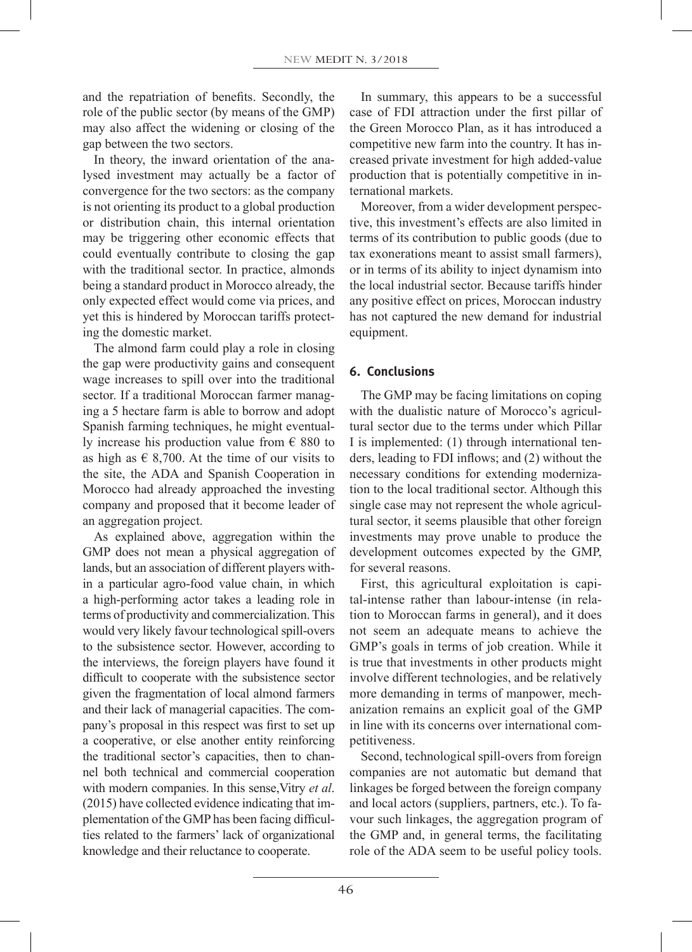and the repatriation of benefits. Secondly, the role of the public sector (by means of the GMP) may also affect the widening or closing of the gap between the two sectors.

In theory, the inward orientation of the analysed investment may actually be a factor of convergence for the two sectors: as the company is not orienting its product to a global production or distribution chain, this internal orientation may be triggering other economic effects that could eventually contribute to closing the gap with the traditional sector. In practice, almonds being a standard product in Morocco already, the only expected effect would come via prices, and yet this is hindered by Moroccan tariffs protecting the domestic market.

The almond farm could play a role in closing the gap were productivity gains and consequent wage increases to spill over into the traditional sector. If a traditional Moroccan farmer managing a 5 hectare farm is able to borrow and adopt Spanish farming techniques, he might eventually increase his production value from  $\epsilon$  880 to as high as  $\in$  8,700. At the time of our visits to the site, the ADA and Spanish Cooperation in Morocco had already approached the investing company and proposed that it become leader of an aggregation project.

As explained above, aggregation within the GMP does not mean a physical aggregation of lands, but an association of different players within a particular agro-food value chain, in which a high-performing actor takes a leading role in terms of productivity and commercialization. This would very likely favour technological spill-overs to the subsistence sector. However, according to the interviews, the foreign players have found it difficult to cooperate with the subsistence sector given the fragmentation of local almond farmers and their lack of managerial capacities. The company's proposal in this respect was first to set up a cooperative, or else another entity reinforcing the traditional sector's capacities, then to channel both technical and commercial cooperation with modern companies. In this sense,Vitry *et al*. (2015) have collected evidence indicating that implementation of the GMP has been facing difficulties related to the farmers' lack of organizational knowledge and their reluctance to cooperate.

In summary, this appears to be a successful case of FDI attraction under the first pillar of the Green Morocco Plan, as it has introduced a competitive new farm into the country. It has increased private investment for high added-value production that is potentially competitive in international markets.

Moreover, from a wider development perspective, this investment's effects are also limited in terms of its contribution to public goods (due to tax exonerations meant to assist small farmers), or in terms of its ability to inject dynamism into the local industrial sector. Because tariffs hinder any positive effect on prices, Moroccan industry has not captured the new demand for industrial equipment.

# **6. Conclusions**

The GMP may be facing limitations on coping with the dualistic nature of Morocco's agricultural sector due to the terms under which Pillar I is implemented: (1) through international tenders, leading to FDI inflows; and (2) without the necessary conditions for extending modernization to the local traditional sector. Although this single case may not represent the whole agricultural sector, it seems plausible that other foreign investments may prove unable to produce the development outcomes expected by the GMP, for several reasons.

First, this agricultural exploitation is capital-intense rather than labour-intense (in relation to Moroccan farms in general), and it does not seem an adequate means to achieve the GMP's goals in terms of job creation. While it is true that investments in other products might involve different technologies, and be relatively more demanding in terms of manpower, mechanization remains an explicit goal of the GMP in line with its concerns over international competitiveness.

Second, technological spill-overs from foreign companies are not automatic but demand that linkages be forged between the foreign company and local actors (suppliers, partners, etc.). To favour such linkages, the aggregation program of the GMP and, in general terms, the facilitating role of the ADA seem to be useful policy tools.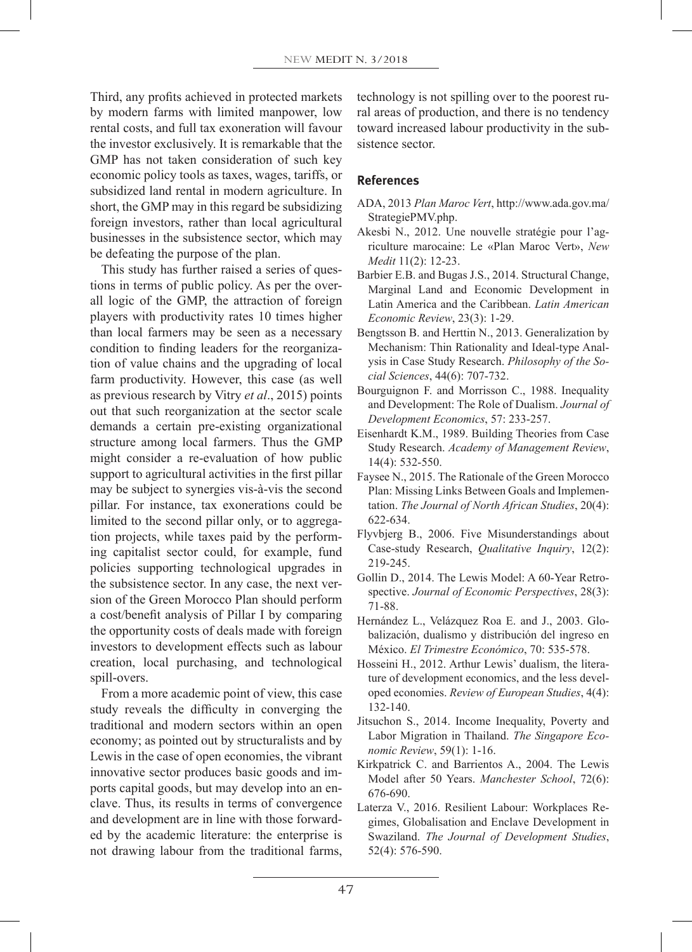Third, any profits achieved in protected markets by modern farms with limited manpower, low rental costs, and full tax exoneration will favour the investor exclusively. It is remarkable that the GMP has not taken consideration of such key economic policy tools as taxes, wages, tariffs, or subsidized land rental in modern agriculture. In short, the GMP may in this regard be subsidizing foreign investors, rather than local agricultural businesses in the subsistence sector, which may be defeating the purpose of the plan.

This study has further raised a series of questions in terms of public policy. As per the overall logic of the GMP, the attraction of foreign players with productivity rates 10 times higher than local farmers may be seen as a necessary condition to finding leaders for the reorganization of value chains and the upgrading of local farm productivity. However, this case (as well as previous research by Vitry *et al*., 2015) points out that such reorganization at the sector scale demands a certain pre-existing organizational structure among local farmers. Thus the GMP might consider a re-evaluation of how public support to agricultural activities in the first pillar may be subject to synergies vis-à-vis the second pillar. For instance, tax exonerations could be limited to the second pillar only, or to aggregation projects, while taxes paid by the performing capitalist sector could, for example, fund policies supporting technological upgrades in the subsistence sector. In any case, the next version of the Green Morocco Plan should perform a cost/benefit analysis of Pillar I by comparing the opportunity costs of deals made with foreign investors to development effects such as labour creation, local purchasing, and technological spill-overs.

From a more academic point of view, this case study reveals the difficulty in converging the traditional and modern sectors within an open economy; as pointed out by structuralists and by Lewis in the case of open economies, the vibrant innovative sector produces basic goods and imports capital goods, but may develop into an enclave. Thus, its results in terms of convergence and development are in line with those forwarded by the academic literature: the enterprise is not drawing labour from the traditional farms,

technology is not spilling over to the poorest rural areas of production, and there is no tendency toward increased labour productivity in the subsistence sector.

# **References**

- ADA, 2013 *Plan Maroc Vert*, http://www.ada.gov.ma/ StrategiePMV.php.
- Akesbi N., 2012. Une nouvelle stratégie pour l'agriculture marocaine: Le «Plan Maroc Vert», *New Medit* 11(2): 12-23.
- Barbier E.B. and Bugas J.S., 2014. Structural Change, Marginal Land and Economic Development in Latin America and the Caribbean. *Latin American Economic Review*, 23(3): 1-29.
- Bengtsson B. and Herttin N., 2013. Generalization by Mechanism: Thin Rationality and Ideal-type Analysis in Case Study Research. *Philosophy of the Social Sciences*, 44(6): 707-732.
- Bourguignon F. and Morrisson C., 1988. Inequality and Development: The Role of Dualism. *Journal of Development Economics*, 57: 233-257.
- Eisenhardt K.M., 1989. Building Theories from Case Study Research. *Academy of Management Review*, 14(4): 532-550.
- Faysee N., 2015. The Rationale of the Green Morocco Plan: Missing Links Between Goals and Implementation. *The Journal of North African Studies*, 20(4): 622-634.
- Flyvbjerg B., 2006. Five Misunderstandings about Case-study Research, *Qualitative Inquiry*, 12(2): 219-245.
- Gollin D., 2014. The Lewis Model: A 60-Year Retrospective. *Journal of Economic Perspectives*, 28(3): 71-88.
- Hernández L., Velázquez Roa E. and J., 2003. Globalización, dualismo y distribución del ingreso en México. *El Trimestre Económico*, 70: 535-578.
- Hosseini H., 2012. Arthur Lewis' dualism, the literature of development economics, and the less developed economies. *Review of European Studies*, 4(4): 132-140.
- Jitsuchon S., 2014. Income Inequality, Poverty and Labor Migration in Thailand. *The Singapore Economic Review*, 59(1): 1-16.
- Kirkpatrick C. and Barrientos A., 2004. The Lewis Model after 50 Years. *Manchester School*, 72(6): 676-690.
- Laterza V., 2016. Resilient Labour: Workplaces Regimes, Globalisation and Enclave Development in Swaziland. *The Journal of Development Studies*, 52(4): 576-590.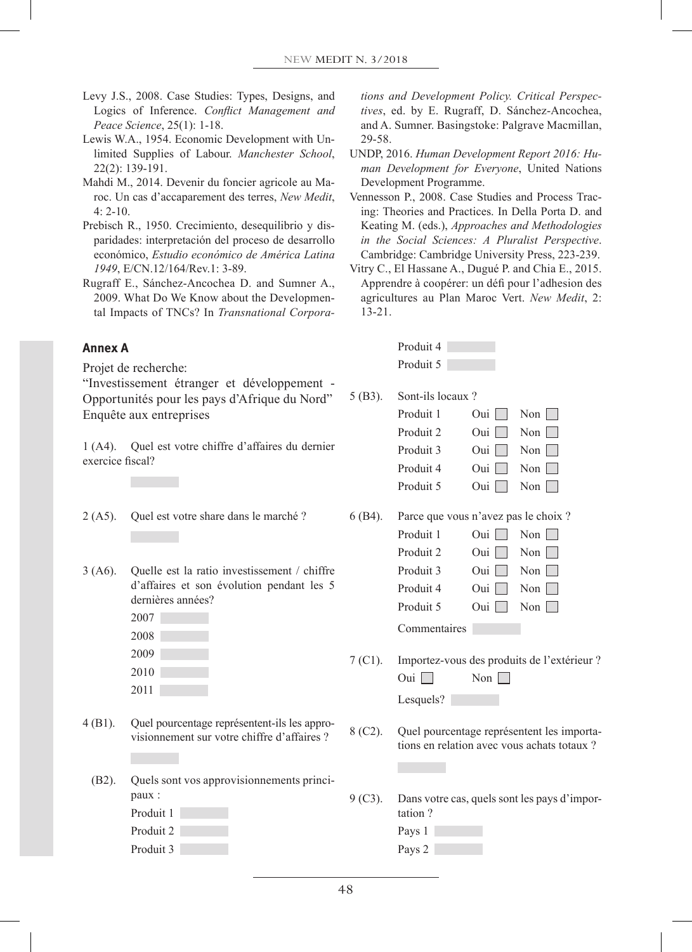- Levy J.S., 2008. Case Studies: Types, Designs, and Logics of Inference. *Conflict Management and Peace Science*, 25(1): 1-18.
- Lewis W.A., 1954. Economic Development with Unlimited Supplies of Labour. *Manchester School*, 22(2): 139-191.
- Mahdi M., 2014. Devenir du foncier agricole au Maroc. Un cas d'accaparement des terres, *New Medit*,  $4: 2 - 10.$
- Prebisch R., 1950. Crecimiento, desequilibrio y disparidades: interpretación del proceso de desarrollo económico, *Estudio económico de América Latina 1949*, E/CN.12/164/Rev.1: 3-89.
- Rugraff E., Sánchez-Ancochea D. and Sumner A., 2009. What Do We Know about the Developmental Impacts of TNCs? In *Transnational Corpora-*

### **Annex A**

Projet de recherche:

"Investissement étranger et développement - Opportunités pour les pays d'Afrique du Nord" Enquête aux entreprises

1 (A4). Quel est votre chiffre d'affaires du dernier exercice fiscal?

- 2 (A5). Quel est votre share dans le marché ?
- 3 (A6). Quelle est la ratio investissement / chiffre d'affaires et son évolution pendant les 5 dernières années?
	- 2007 2008 2009 2010
	- 2011
- 4 (B1). Quel pourcentage représentent-ils les approvisionnement sur votre chiffre d'affaires ?
	- (B2). Quels sont vos approvisionnements principaux :
		- Produit 1 Produit 2
		- Produit 3

*tions and Development Policy. Critical Perspectives*, ed. by E. Rugraff, D. Sánchez-Ancochea, and A. Sumner. Basingstoke: Palgrave Macmillan, 29-58.

- UNDP, 2016. *Human Development Report 2016: Human Development for Everyone*, United Nations Development Programme.
- Vennesson P., 2008. Case Studies and Process Tracing: Theories and Practices. In Della Porta D. and Keating M. (eds.), *Approaches and Methodologies in the Social Sciences: A Pluralist Perspective*. Cambridge: Cambridge University Press, 223-239.
- Vitry C., El Hassane A., Dugué P. and Chia E., 2015. Apprendre à coopérer: un défi pour l'adhesion des agricultures au Plan Maroc Vert. *New Medit*, 2: 13-21.

| Produit 4 |  |
|-----------|--|
| Produit 5 |  |

5 (B3). Sont-ils locaux ?

|         | Produit 1                             | Oui | Non                     |
|---------|---------------------------------------|-----|-------------------------|
|         | Produit 2                             | Oui | $\text{Non}$            |
|         | Produit 3                             | Oui | $\text{Non}$            |
|         | Produit 4                             | Oui | $\text{Non}$            |
|         | Produit 5                             | Oui | Non $\vert$             |
| 6 (B4). | Parce que vous n'avez pas le choix ?  |     |                         |
|         | Produit 1                             | Oui | $\overline{\text{Non}}$ |
|         | Produit 2                             | Oui | Non $\vert$ $\vert$     |
|         | Produit 3                             | Oui | $\overline{\text{Non}}$ |
|         | Produit 4                             | Oui | $\text{Non}$            |
|         | Produit 5                             | Oui | Non $\vert$             |
|         | Commentaires                          |     |                         |
| 7 (C1). | Importez-vous des produits de l'extér |     |                         |

7 (C1). Importez-vous des produits de l'extérieur ? Oui  $\Box$  Non  $\Box$ 



8 (C2). Quel pourcentage représentent les importations en relation avec vous achats totaux ?

- 9 (C3). Dans votre cas, quels sont les pays d'importation ?
	- Pays 1
	- Pays 2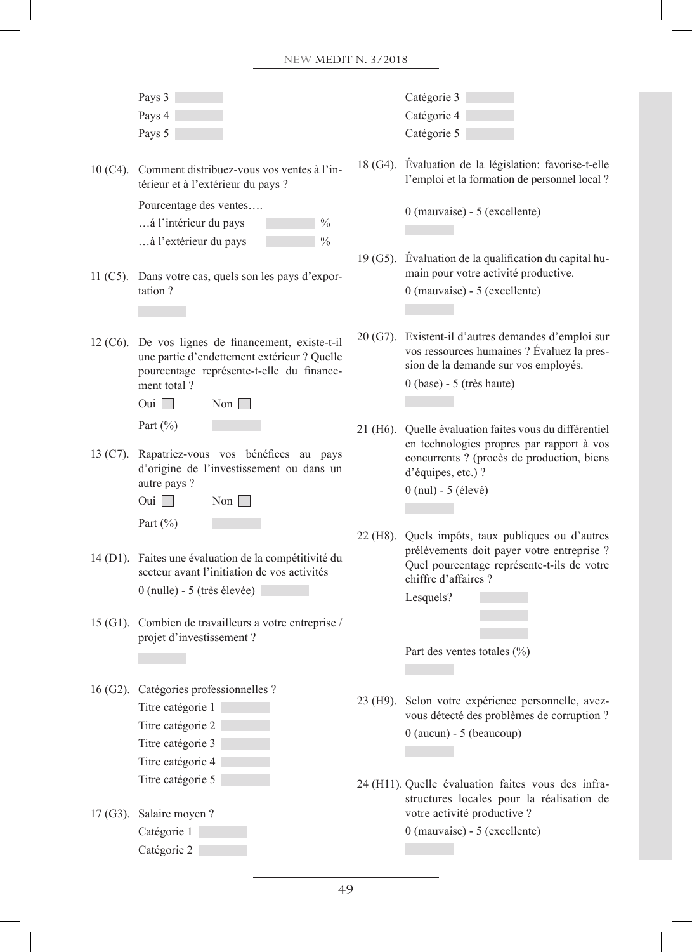|  | Pays 3                                                                                                                                         | Catégorie 3                                                                                                                                                             |
|--|------------------------------------------------------------------------------------------------------------------------------------------------|-------------------------------------------------------------------------------------------------------------------------------------------------------------------------|
|  | Pays 4                                                                                                                                         | Catégorie 4                                                                                                                                                             |
|  | Pays 5                                                                                                                                         | Catégorie 5                                                                                                                                                             |
|  | 10 (C4). Comment distribuez-vous vos ventes à l'in-<br>térieur et à l'extérieur du pays ?                                                      | 18 (G4). Évaluation de la législation: favorise-t-elle<br>l'emploi et la formation de personnel local ?                                                                 |
|  | Pourcentage des ventes                                                                                                                         | 0 (mauvaise) - 5 (excellente)                                                                                                                                           |
|  | á l'intérieur du pays<br>$\frac{0}{0}$                                                                                                         |                                                                                                                                                                         |
|  | à l'extérieur du pays<br>$\frac{0}{0}$                                                                                                         |                                                                                                                                                                         |
|  | 11 (C5). Dans votre cas, quels son les pays d'expor-<br>tation?                                                                                | 19 (G5). Évaluation de la qualification du capital hu-<br>main pour votre activité productive.<br>$0$ (mauvaise) - 5 (excellente)                                       |
|  |                                                                                                                                                |                                                                                                                                                                         |
|  |                                                                                                                                                |                                                                                                                                                                         |
|  | 12 (C6). De vos lignes de financement, existe-t-il<br>une partie d'endettement extérieur ? Quelle<br>pourcentage représente-t-elle du finance- | 20 (G7). Existent-il d'autres demandes d'emploi sur<br>vos ressources humaines ? Évaluez la pres-<br>sion de la demande sur vos employés.                               |
|  | ment total?                                                                                                                                    | $0$ (base) - 5 (très haute)                                                                                                                                             |
|  | Oui $\Box$<br>Non $\Box$                                                                                                                       |                                                                                                                                                                         |
|  | Part $(\%)$                                                                                                                                    |                                                                                                                                                                         |
|  | 13 (C7). Rapatriez-vous vos bénéfices au pays<br>d'origine de l'investissement ou dans un                                                      | 21 (H6). Quelle évaluation faites vous du différentiel<br>en technologies propres par rapport à vos<br>concurrents ? (procès de production, biens<br>d'équipes, etc.) ? |
|  | autre pays ?                                                                                                                                   | $0$ (nul) - 5 (élevé)                                                                                                                                                   |
|  | Oui $\Box$<br>$\gamma$ Non $\vert$                                                                                                             |                                                                                                                                                                         |
|  | Part $(\% )$                                                                                                                                   |                                                                                                                                                                         |
|  |                                                                                                                                                | 22 (H8). Quels impôts, taux publiques ou d'autres<br>prélèvements doit payer votre entreprise ?                                                                         |
|  | 14 (D1). Faites une évaluation de la compétitivité du<br>secteur avant l'initiation de vos activités                                           | Quel pourcentage représente-t-ils de votre<br>chiffre d'affaires ?                                                                                                      |
|  | $0$ (nulle) - 5 (très élevée)                                                                                                                  | Lesquels?                                                                                                                                                               |
|  | 15 (G1). Combien de travailleurs a votre entreprise /                                                                                          |                                                                                                                                                                         |
|  | projet d'investissement ?                                                                                                                      |                                                                                                                                                                         |
|  |                                                                                                                                                | Part des ventes totales (%)                                                                                                                                             |
|  |                                                                                                                                                |                                                                                                                                                                         |
|  | 16 (G2). Catégories professionnelles ?                                                                                                         |                                                                                                                                                                         |
|  | Titre catégorie 1                                                                                                                              | 23 (H9). Selon votre expérience personnelle, avez-                                                                                                                      |
|  | Titre catégorie 2                                                                                                                              | vous détecté des problèmes de corruption ?                                                                                                                              |
|  | Titre catégorie 3                                                                                                                              | $0$ (aucun) - 5 (beaucoup)                                                                                                                                              |
|  | Titre catégorie 4                                                                                                                              |                                                                                                                                                                         |
|  | Titre catégorie 5                                                                                                                              | 24 (H11). Quelle évaluation faites vous des infra-                                                                                                                      |
|  |                                                                                                                                                | structures locales pour la réalisation de                                                                                                                               |
|  | 17 (G3). Salaire moyen?                                                                                                                        | votre activité productive ?                                                                                                                                             |
|  | Catégorie 1                                                                                                                                    | $0$ (mauvaise) - 5 (excellente)                                                                                                                                         |
|  | Catégorie 2                                                                                                                                    |                                                                                                                                                                         |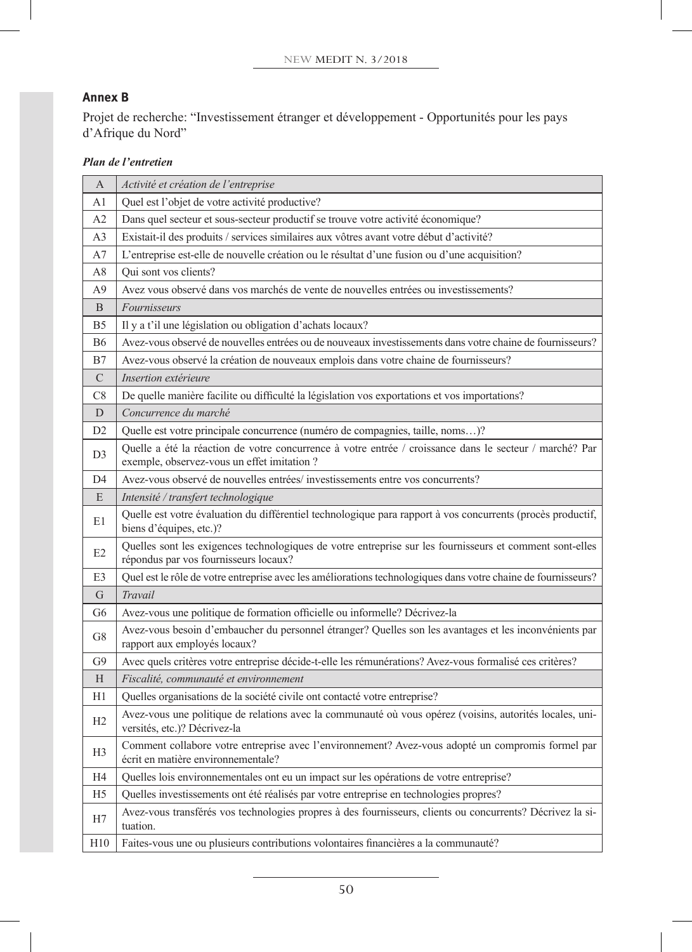# **Annex B**

Projet de recherche: "Investissement étranger et développement - Opportunités pour les pays d'Afrique du Nord"

# *Plan de l'entretien*

| A               | Activité et création de l'entreprise                                                                                                                  |
|-----------------|-------------------------------------------------------------------------------------------------------------------------------------------------------|
| A1              | Quel est l'objet de votre activité productive?                                                                                                        |
| A2              | Dans quel secteur et sous-secteur productif se trouve votre activité économique?                                                                      |
| A3              | Existait-il des produits / services similaires aux vôtres avant votre début d'activité?                                                               |
| A7              | L'entreprise est-elle de nouvelle création ou le résultat d'une fusion ou d'une acquisition?                                                          |
| A8              | Qui sont vos clients?                                                                                                                                 |
| A9              | Avez vous observé dans vos marchés de vente de nouvelles entrées ou investissements?                                                                  |
| B               | Fournisseurs                                                                                                                                          |
| B5              | Il y a t'il une législation ou obligation d'achats locaux?                                                                                            |
| <b>B6</b>       | Avez-vous observé de nouvelles entrées ou de nouveaux investissements dans votre chaine de fournisseurs?                                              |
| B7              | Avez-vous observé la création de nouveaux emplois dans votre chaine de fournisseurs?                                                                  |
| $\mathcal{C}$   | Insertion extérieure                                                                                                                                  |
| C8              | De quelle manière facilite ou difficulté la législation vos exportations et vos importations?                                                         |
| D               | Concurrence du marché                                                                                                                                 |
| D2              | Quelle est votre principale concurrence (numéro de compagnies, taille, noms)?                                                                         |
| D <sub>3</sub>  | Quelle a été la réaction de votre concurrence à votre entrée / croissance dans le secteur / marché? Par<br>exemple, observez-vous un effet imitation? |
| D4              | Avez-vous observé de nouvelles entrées/investissements entre vos concurrents?                                                                         |
| E               | Intensité / transfert technologique                                                                                                                   |
| E1              | Quelle est votre évaluation du différentiel technologique para rapport à vos concurrents (procès productif,<br>biens d'équipes, etc.)?                |
| E2              | Quelles sont les exigences technologiques de votre entreprise sur les fournisseurs et comment sont-elles<br>répondus par vos fournisseurs locaux?     |
| E3              | Quel est le rôle de votre entreprise avec les améliorations technologiques dans votre chaine de fournisseurs?                                         |
| G               | Travail                                                                                                                                               |
| G6              | Avez-vous une politique de formation officielle ou informelle? Décrivez-la                                                                            |
| G8              | Avez-vous besoin d'embaucher du personnel étranger? Quelles son les avantages et les inconvénients par<br>rapport aux employés locaux?                |
| G9              | Avec quels critères votre entreprise décide-t-elle les rémunérations? Avez-vous formalisé ces critères?                                               |
| H               | Fiscalité, communauté et environnement                                                                                                                |
| H1              | Quelles organisations de la société civile ont contacté votre entreprise?                                                                             |
| H2              | Avez-vous une politique de relations avec la communauté où vous opérez (voisins, autorités locales, uni-<br>versités, etc.)? Décrivez-la              |
| H <sub>3</sub>  | Comment collabore votre entreprise avec l'environnement? Avez-vous adopté un compromis formel par<br>écrit en matière environnementale?               |
| Η4              | Quelles lois environmementales ont eu un impact sur les opérations de votre entreprise?                                                               |
| H <sub>5</sub>  | Quelles investissements ont été réalisés par votre entreprise en technologies propres?                                                                |
| Н7              | Avez-vous transférés vos technologies propres à des fournisseurs, clients ou concurrents? Décrivez la si-<br>tuation.                                 |
| H <sub>10</sub> | Faites-vous une ou plusieurs contributions volontaires financières a la communauté?                                                                   |
|                 |                                                                                                                                                       |